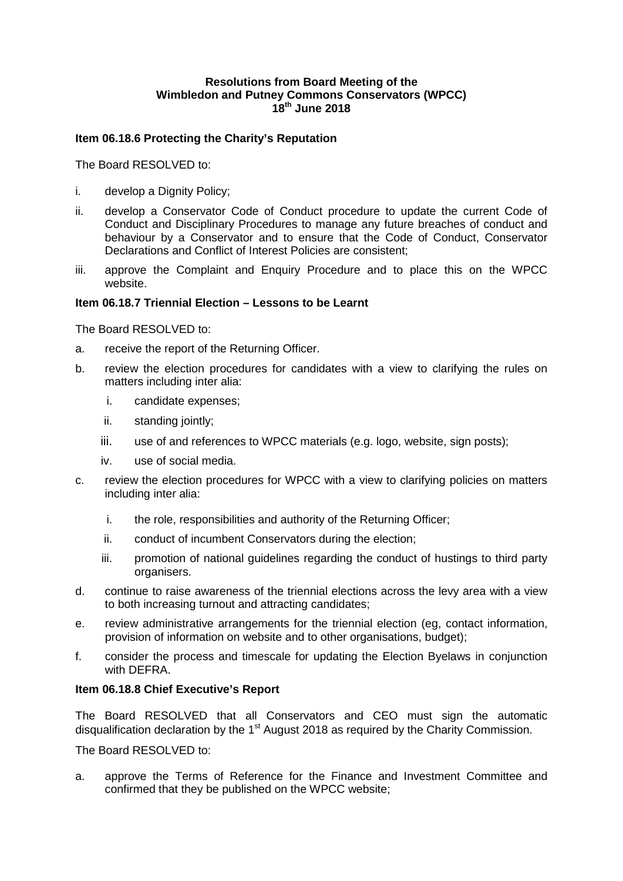### **Resolutions from Board Meeting of the Wimbledon and Putney Commons Conservators (WPCC) 18th June 2018**

#### **Item 06.18.6 Protecting the Charity's Reputation**

The Board RESOLVED to:

- i. develop a Dignity Policy;
- ii. develop a Conservator Code of Conduct procedure to update the current Code of Conduct and Disciplinary Procedures to manage any future breaches of conduct and behaviour by a Conservator and to ensure that the Code of Conduct, Conservator Declarations and Conflict of Interest Policies are consistent;
- iii. approve the Complaint and Enquiry Procedure and to place this on the WPCC website.

#### **Item 06.18.7 Triennial Election – Lessons to be Learnt**

The Board RESOLVED to:

- a. receive the report of the Returning Officer.
- b. review the election procedures for candidates with a view to clarifying the rules on matters including inter alia:
	- i. candidate expenses;
	- ii. standing jointly:
	- iii. use of and references to WPCC materials (e.g. logo, website, sign posts);
	- iv. use of social media.
- c. review the election procedures for WPCC with a view to clarifying policies on matters including inter alia:
	- i. the role, responsibilities and authority of the Returning Officer;
	- ii. conduct of incumbent Conservators during the election;
	- iii. promotion of national guidelines regarding the conduct of hustings to third party organisers.
- d. continue to raise awareness of the triennial elections across the levy area with a view to both increasing turnout and attracting candidates;
- e. review administrative arrangements for the triennial election (eg, contact information, provision of information on website and to other organisations, budget);
- f. consider the process and timescale for updating the Election Byelaws in conjunction with DEFRA.

#### **Item 06.18.8 Chief Executive's Report**

The Board RESOLVED that all Conservators and CEO must sign the automatic disqualification declaration by the  $1<sup>st</sup>$  August 2018 as required by the Charity Commission.

The Board RESOLVED to:

a. approve the Terms of Reference for the Finance and Investment Committee and confirmed that they be published on the WPCC website;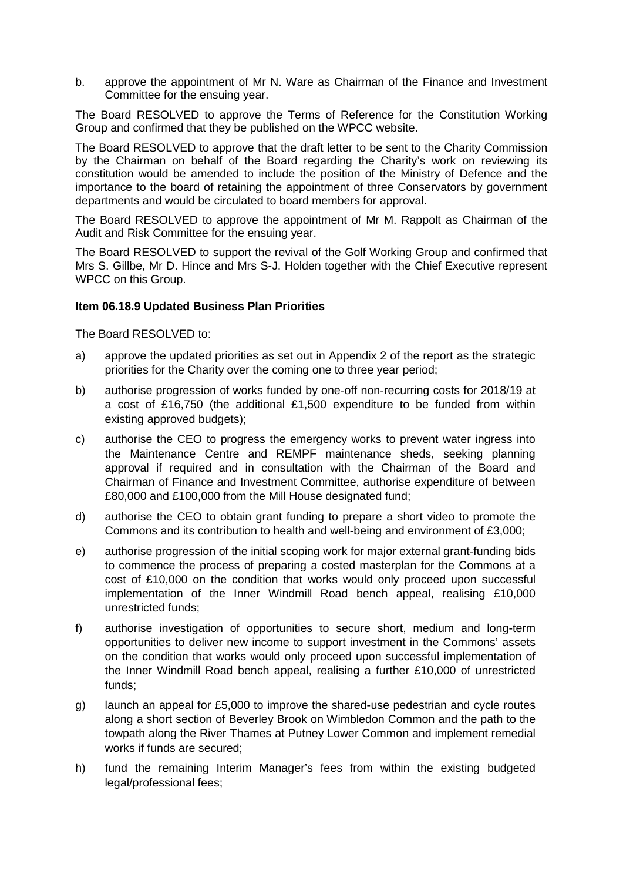b. approve the appointment of Mr N. Ware as Chairman of the Finance and Investment Committee for the ensuing year.

The Board RESOLVED to approve the Terms of Reference for the Constitution Working Group and confirmed that they be published on the WPCC website.

The Board RESOLVED to approve that the draft letter to be sent to the Charity Commission by the Chairman on behalf of the Board regarding the Charity's work on reviewing its constitution would be amended to include the position of the Ministry of Defence and the importance to the board of retaining the appointment of three Conservators by government departments and would be circulated to board members for approval.

The Board RESOLVED to approve the appointment of Mr M. Rappolt as Chairman of the Audit and Risk Committee for the ensuing year.

The Board RESOLVED to support the revival of the Golf Working Group and confirmed that Mrs S. Gillbe, Mr D. Hince and Mrs S-J. Holden together with the Chief Executive represent WPCC on this Group.

### **Item 06.18.9 Updated Business Plan Priorities**

The Board RESOLVED to:

- a) approve the updated priorities as set out in Appendix 2 of the report as the strategic priorities for the Charity over the coming one to three year period;
- b) authorise progression of works funded by one-off non-recurring costs for 2018/19 at a cost of £16,750 (the additional £1,500 expenditure to be funded from within existing approved budgets);
- c) authorise the CEO to progress the emergency works to prevent water ingress into the Maintenance Centre and REMPF maintenance sheds, seeking planning approval if required and in consultation with the Chairman of the Board and Chairman of Finance and Investment Committee, authorise expenditure of between £80,000 and £100,000 from the Mill House designated fund;
- d) authorise the CEO to obtain grant funding to prepare a short video to promote the Commons and its contribution to health and well-being and environment of £3,000;
- e) authorise progression of the initial scoping work for major external grant-funding bids to commence the process of preparing a costed masterplan for the Commons at a cost of £10,000 on the condition that works would only proceed upon successful implementation of the Inner Windmill Road bench appeal, realising £10,000 unrestricted funds;
- f) authorise investigation of opportunities to secure short, medium and long-term opportunities to deliver new income to support investment in the Commons' assets on the condition that works would only proceed upon successful implementation of the Inner Windmill Road bench appeal, realising a further £10,000 of unrestricted funds;
- g) launch an appeal for £5,000 to improve the shared-use pedestrian and cycle routes along a short section of Beverley Brook on Wimbledon Common and the path to the towpath along the River Thames at Putney Lower Common and implement remedial works if funds are secured;
- h) fund the remaining Interim Manager's fees from within the existing budgeted legal/professional fees;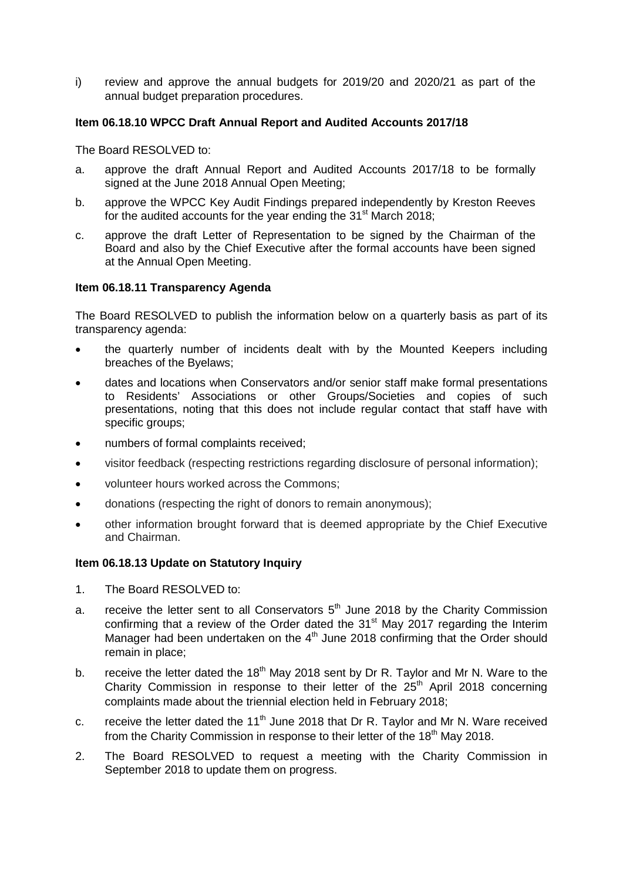i) review and approve the annual budgets for 2019/20 and 2020/21 as part of the annual budget preparation procedures.

## **Item 06.18.10 WPCC Draft Annual Report and Audited Accounts 2017/18**

The Board RESOLVED to:

- a. approve the draft Annual Report and Audited Accounts 2017/18 to be formally signed at the June 2018 Annual Open Meeting;
- b. approve the WPCC Key Audit Findings prepared independently by Kreston Reeves for the audited accounts for the year ending the  $31<sup>st</sup>$  March 2018;
- c. approve the draft Letter of Representation to be signed by the Chairman of the Board and also by the Chief Executive after the formal accounts have been signed at the Annual Open Meeting.

# **Item 06.18.11 Transparency Agenda**

The Board RESOLVED to publish the information below on a quarterly basis as part of its transparency agenda:

- the quarterly number of incidents dealt with by the Mounted Keepers including breaches of the Byelaws;
- dates and locations when Conservators and/or senior staff make formal presentations to Residents' Associations or other Groups/Societies and copies of such presentations, noting that this does not include regular contact that staff have with specific groups;
- numbers of formal complaints received;
- visitor feedback (respecting restrictions regarding disclosure of personal information);
- volunteer hours worked across the Commons;
- donations (respecting the right of donors to remain anonymous);
- other information brought forward that is deemed appropriate by the Chief Executive and Chairman.

### **Item 06.18.13 Update on Statutory Inquiry**

- 1. The Board RESOLVED to:
- a. receive the letter sent to all Conservators  $5<sup>th</sup>$  June 2018 by the Charity Commission confirming that a review of the Order dated the  $31<sup>st</sup>$  May 2017 regarding the Interim Manager had been undertaken on the 4<sup>th</sup> June 2018 confirming that the Order should remain in place;
- b. receive the letter dated the  $18<sup>th</sup>$  May 2018 sent by Dr R. Taylor and Mr N. Ware to the Charity Commission in response to their letter of the  $25<sup>th</sup>$  April 2018 concerning complaints made about the triennial election held in February 2018;
- c. receive the letter dated the  $11<sup>th</sup>$  June 2018 that Dr R. Taylor and Mr N. Ware received from the Charity Commission in response to their letter of the 18<sup>th</sup> May 2018.
- 2. The Board RESOLVED to request a meeting with the Charity Commission in September 2018 to update them on progress.